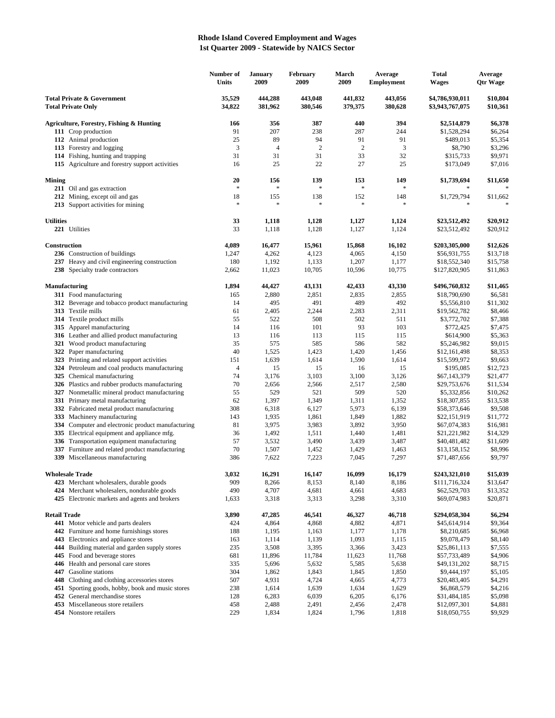## **Rhode Island Covered Employment and Wages 1st Quarter 2009 - Statewide by NAICS Sector**

|                                                                    |                                                                                                  | Number of<br>Units | <b>January</b><br>2009                   | February<br>2009   | March<br>2009      | Average<br><b>Employment</b> | <b>Total</b><br><b>Wages</b>       | Average<br><b>Qtr Wage</b> |
|--------------------------------------------------------------------|--------------------------------------------------------------------------------------------------|--------------------|------------------------------------------|--------------------|--------------------|------------------------------|------------------------------------|----------------------------|
| <b>Total Private &amp; Government</b><br><b>Total Private Only</b> |                                                                                                  | 35,529<br>34,822   | 444,288<br>381,962                       | 443,048<br>380,546 | 441,832<br>379,375 | 443,056<br>380,628           | \$4,786,930,011<br>\$3,943,767,075 | \$10,804<br>\$10,361       |
|                                                                    | <b>Agriculture, Forestry, Fishing &amp; Hunting</b>                                              | 166                | 356                                      | 387                | 440                | 394                          | \$2,514,879                        | \$6,378                    |
|                                                                    | 111 Crop production                                                                              | 91                 | 207                                      | 238                | 287                | 244                          | \$1,528,294                        | \$6,264                    |
|                                                                    | 112 Animal production                                                                            | 25                 | 89                                       | 94                 | 91                 | 91                           | \$489,013                          | \$5,354                    |
|                                                                    | 113 Forestry and logging                                                                         | 3                  | $\overline{4}$                           | 2                  | $\overline{c}$     | 3                            | \$8,790                            | \$3,296                    |
|                                                                    | 114 Fishing, hunting and trapping                                                                | 31                 | 31                                       | 31                 | 33                 | 32                           | \$315,733                          | \$9,971                    |
|                                                                    | 115 Agriculture and forestry support activities                                                  | 16                 | 25                                       | 22                 | 27                 | 25                           | \$173,049                          | \$7,016                    |
| <b>Mining</b>                                                      |                                                                                                  | 20<br>$\ast$       | 156<br>$\frac{1}{2^k}$                   | 139                | 153<br>$\ast$      | 149                          | \$1,739,694                        | \$11,650                   |
|                                                                    | 211 Oil and gas extraction<br>212 Mining, except oil and gas                                     |                    |                                          | 138                | 152                | 148                          |                                    |                            |
|                                                                    | 213 Support activities for mining                                                                | 18<br>$\ast$       | 155<br>$\frac{d\mathbf{r}}{d\mathbf{r}}$ | 字                  | *                  |                              | \$1,729,794<br>$\frac{1}{2}$       | \$11,662                   |
| <b>Utilities</b>                                                   |                                                                                                  | 33                 | 1,118                                    | 1,128              | 1,127              | 1,124                        | \$23,512,492                       | \$20,912                   |
|                                                                    | 221 Utilities                                                                                    | 33                 | 1,118                                    | 1,128              | 1,127              | 1,124                        | \$23,512,492                       | \$20,912                   |
| Construction                                                       |                                                                                                  | 4,089              | 16,477                                   | 15,961             | 15,868             | 16,102                       | \$203,305,000                      | \$12,626                   |
|                                                                    | 236 Construction of buildings                                                                    | 1,247              | 4,262                                    | 4,123              | 4,065              | 4,150                        | \$56,931,755                       | \$13,718                   |
|                                                                    | 237 Heavy and civil engineering construction<br>238 Specialty trade contractors                  | 180<br>2,662       | 1,192<br>11,023                          | 1,133<br>10,705    | 1,207<br>10,596    | 1,177<br>10,775              | \$18,552,340<br>\$127,820,905      | \$15,758<br>\$11,863       |
|                                                                    | <b>Manufacturing</b>                                                                             | 1,894              | 44,427                                   | 43,131             | 42,433             | 43,330                       | \$496,760,832                      | \$11,465                   |
|                                                                    | 311 Food manufacturing                                                                           | 165                | 2,880                                    | 2,851              | 2,835              | 2,855                        | \$18,790,690                       | \$6,581                    |
|                                                                    | 312 Beverage and tobacco product manufacturing                                                   | 14                 | 495                                      | 491                | 489                | 492                          | \$5,556,810                        | \$11,302                   |
|                                                                    | 313 Textile mills                                                                                | 61                 | 2,405                                    | 2,244              | 2,283              | 2,311                        | \$19,562,782                       | \$8,466                    |
|                                                                    | 314 Textile product mills                                                                        | 55                 | 522                                      | 508                | 502                | 511                          | \$3,772,702                        | \$7,388                    |
|                                                                    | 315 Apparel manufacturing                                                                        | 14                 | 116                                      | 101                | 93                 | 103                          | \$772,425                          | \$7,475                    |
|                                                                    | 316 Leather and allied product manufacturing                                                     | 13                 | 116                                      | 113                | 115                | 115                          | \$614,900                          | \$5,363                    |
|                                                                    | 321 Wood product manufacturing                                                                   | 35                 | 575                                      | 585                | 586                | 582                          | \$5,246,982                        | \$9,015                    |
|                                                                    | 322 Paper manufacturing                                                                          | 40                 | 1,525                                    | 1,423              | 1,420              | 1,456                        | \$12,161,498                       | \$8,353                    |
|                                                                    | 323 Printing and related support activities                                                      | 151                | 1,639                                    | 1,614              | 1,590              | 1,614                        | \$15,599,972                       | \$9,663                    |
|                                                                    | 324 Petroleum and coal products manufacturing                                                    | 4                  | 15                                       | 15                 | 16                 | 15                           | \$195,085                          | \$12,723                   |
|                                                                    | 325 Chemical manufacturing<br>326 Plastics and rubber products manufacturing                     | 74<br>70           | 3,176<br>2,656                           | 3,103<br>2,566     | 3,100<br>2,517     | 3,126<br>2,580               | \$67,143,379<br>\$29,753,676       | \$21,477<br>\$11,534       |
|                                                                    | 327 Nonmetallic mineral product manufacturing                                                    | 55                 | 529                                      | 521                | 509                | 520                          | \$5,332,856                        | \$10,262                   |
|                                                                    | 331 Primary metal manufacturing                                                                  | 62                 | 1,397                                    | 1,349              | 1,311              | 1,352                        | \$18,307,855                       | \$13,538                   |
|                                                                    | 332 Fabricated metal product manufacturing                                                       | 308                | 6,318                                    | 6,127              | 5,973              | 6,139                        | \$58,373,646                       | \$9,508                    |
|                                                                    | 333 Machinery manufacturing                                                                      | 143                | 1,935                                    | 1,861              | 1,849              | 1,882                        | \$22,151,919                       | \$11,772                   |
|                                                                    | 334 Computer and electronic product manufacturing                                                | 81                 | 3,975                                    | 3,983              | 3,892              | 3,950                        | \$67,074,383                       | \$16,981                   |
| 335                                                                | Electrical equipment and appliance mfg.                                                          | 36                 | 1,492                                    | 1,511              | 1,440              | 1,481                        | \$21,221,982                       | \$14,329                   |
|                                                                    | 336 Transportation equipment manufacturing                                                       | 57                 | 3,532                                    | 3,490              | 3,439              | 3,487                        | \$40,481,482                       | \$11,609                   |
| 337                                                                | Furniture and related product manufacturing                                                      | 70                 | 1,507                                    | 1,452              | 1,429              | 1,463                        | \$13,158,152                       | \$8,996                    |
|                                                                    | 339 Miscellaneous manufacturing                                                                  | 386                | 7,622                                    | 7,223              | 7,045              | 7,297                        | \$71,487,656                       | \$9,797                    |
|                                                                    | <b>Wholesale Trade</b>                                                                           | 3,032              | 16,291                                   | 16,147             | 16,099             | 16,179                       | \$243,321,010                      | \$15,039                   |
|                                                                    | 423 Merchant wholesalers, durable goods<br>424 Merchant wholesalers, nondurable goods            | 909<br>490         | 8,266<br>4,707                           | 8,153              | 8,140              | 8,186<br>4,683               | \$111,716,324<br>\$62,529,703      | \$13,647                   |
|                                                                    | 425 Electronic markets and agents and brokers                                                    | 1,633              | 3,318                                    | 4,681<br>3,313     | 4,661<br>3,298     | 3,310                        | \$69,074,983                       | \$13,352<br>\$20,871       |
| <b>Retail Trade</b>                                                |                                                                                                  | 3,890              | 47,285                                   | 46,541             | 46,327             | 46,718                       | \$294,058,304                      | \$6,294                    |
|                                                                    | 441 Motor vehicle and parts dealers                                                              | 424                | 4,864                                    | 4,868              | 4,882              | 4,871                        | \$45,614,914                       | \$9,364                    |
|                                                                    | 442 Furniture and home furnishings stores                                                        | 188                | 1,195                                    | 1,163              | 1,177              | 1,178                        | \$8,210,685                        | \$6,968                    |
|                                                                    | 443 Electronics and appliance stores                                                             | 163                | 1,114                                    | 1,139              | 1,093              | 1,115                        | \$9,078,479                        | \$8,140                    |
| 444                                                                | Building material and garden supply stores                                                       | 235                | 3,508                                    | 3,395              | 3,366              | 3,423                        | \$25,861,113                       | \$7,555                    |
| 445                                                                | Food and beverage stores                                                                         | 681                | 11,896                                   | 11,784             | 11,623             | 11,768                       | \$57,733,489                       | \$4,906                    |
|                                                                    | 446 Health and personal care stores                                                              | 335                | 5,696                                    | 5,632              | 5,585              | 5,638                        | \$49,131,202                       | \$8,715                    |
| 447                                                                | Gasoline stations                                                                                | 304                | 1,862                                    | 1,843              | 1,845              | 1,850                        | \$9,444,197                        | \$5,105                    |
|                                                                    | 448 Clothing and clothing accessories stores<br>451 Sporting goods, hobby, book and music stores | 507                | 4,931                                    | 4,724<br>1,639     | 4,665              | 4,773                        | \$20,483,405                       | \$4,291                    |
|                                                                    | 452 General merchandise stores                                                                   | 238<br>128         | 1,614<br>6,283                           | 6,039              | 1,634<br>6,205     | 1,629<br>6,176               | \$6,868,579<br>\$31,484,185        | \$4,216<br>\$5,098         |
|                                                                    | 453 Miscellaneous store retailers                                                                | 458                | 2,488                                    | 2,491              | 2,456              | 2,478                        | \$12,097,301                       | \$4,881                    |
|                                                                    | 454 Nonstore retailers                                                                           | 229                | 1,834                                    | 1,824              | 1,796              | 1,818                        | \$18,050,755                       | \$9,929                    |